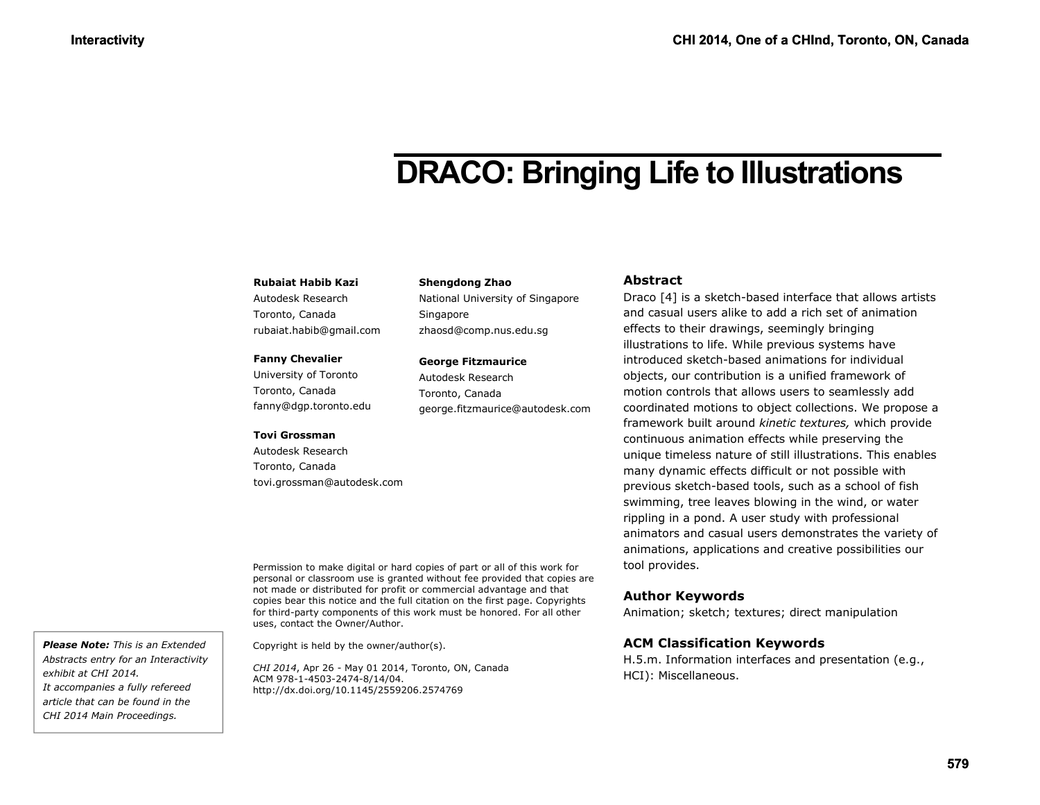# **DRACO: Bringing Life to Illustrations**

#### **Rubaiat Habib Kazi**

Autodesk Research Toronto, Canada rubaiat.habib@gmail.com

#### **Fanny Chevalier**

University of Toronto Toronto, Canada fanny@dgp.toronto.edu

#### **Tovi Grossman**

Autodesk Research Toronto, Canada tovi.grossman@autodesk.com **Shengdong Zhao** National University of Singapore Singapore zhaosd@comp.nus.edu.sg

## **George Fitzmaurice**

Autodesk Research Toronto, Canada george.fitzmaurice@autodesk.com

#### Permission to make digital or hard copies of part or all of this work for personal or classroom use is granted without fee provided that copies are not made or distributed for profit or commercial advantage and that copies bear this notice and the full citation on the first page. Copyrights for third-party components of this work must be honored. For all other uses, contact the Owner/Author.

Copyright is held by the owner/author(s).

*CHI 2014*, Apr 26 - May 01 2014, Toronto, ON, Canada ACM 978-1-4503-2474-8/14/04. http://dx.doi.org/10.1145/2559206.2574769

#### **Abstract**

Draco [\[4\]](#page-3-0) is a sketch-based interface that allows artists and casual users alike to add a rich set of animation effects to their drawings, seemingly bringing illustrations to life. While previous systems have introduced sketch-based animations for individual objects, our contribution is a unified framework of motion controls that allows users to seamlessly add coordinated motions to object collections. We propose a framework built around *kinetic textures,* which provide continuous animation effects while preserving the unique timeless nature of still illustrations. This enables many dynamic effects difficult or not possible with previous sketch-based tools, such as a school of fish swimming, tree leaves blowing in the wind, or water rippling in a pond. A user study with professional animators and casual users demonstrates the variety of animations, applications and creative possibilities our tool provides.

## **Author Keywords**

Animation; sketch; textures; direct manipulation

## **ACM Classification Keywords**

H.5.m. Information interfaces and presentation (e.g., HCI): Miscellaneous.

*Please Note: This is an Extended Abstracts entry for an Interactivity exhibit at CHI 2014. It accompanies a fully refereed article that can be found in the CHI 2014 Main Proceedings.*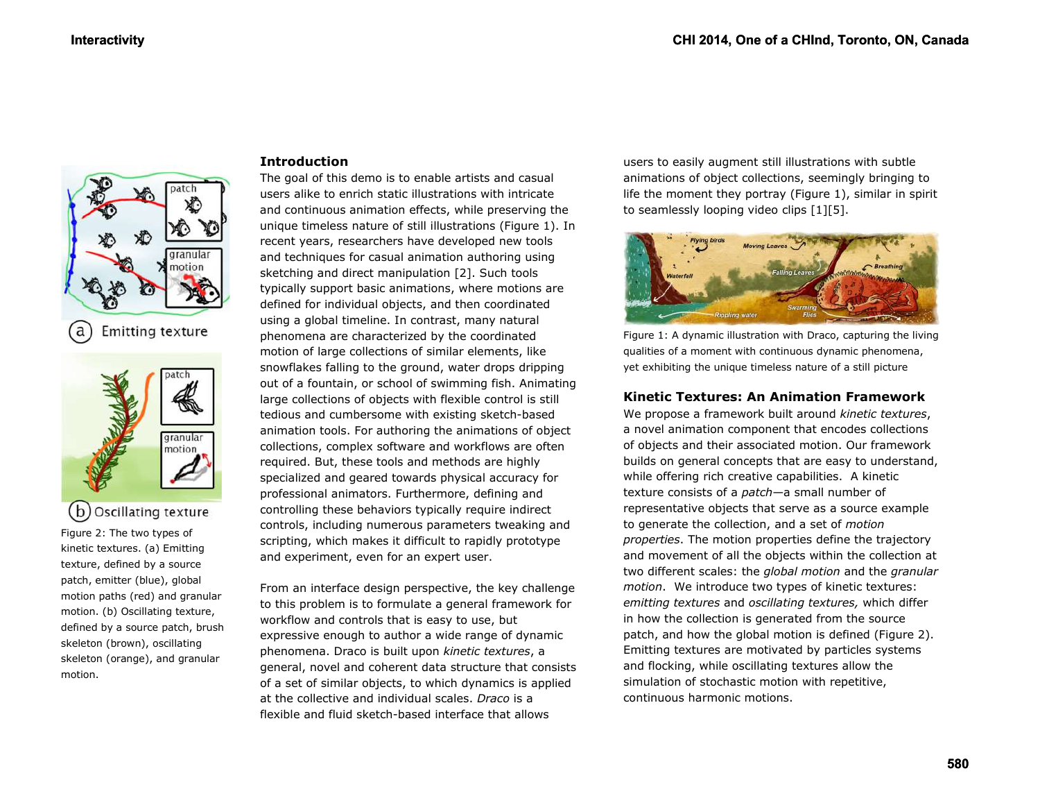

granular motion

Figure 2: The two types of kinetic textures. (a) Emitting texture, defined by a source patch, emitter (blue), global motion paths (red) and granular motion. (b) Oscillating texture, defined by a source patch, brush skeleton (brown), oscillating skeleton (orange), and granular

(b) Oscillating texture

motion.

#### **Introduction**

The goal of this demo is to enable artists and casual users alike to enrich static illustrations with intricate and continuous animation effects, while preserving the unique timeless nature of still illustrations (Figure 1). In recent years, researchers have developed new tools and techniques for casual animation authoring using sketching and direct manipulation [\[2\].](#page-3-1) Such tools typically support basic animations, where motions are defined for individual objects, and then coordinated using a global timeline. In contrast, many natural phenomena are characterized by the coordinated motion of large collections of similar elements, like snowflakes falling to the ground, water drops dripping out of a fountain, or school of swimming fish. Animating large collections of objects with flexible control is still tedious and cumbersome with existing sketch-based animation tools. For authoring the animations of object collections, complex software and workflows are often required. But, these tools and methods are highly specialized and geared towards physical accuracy for professional animators. Furthermore, defining and controlling these behaviors typically require indirect controls, including numerous parameters tweaking and scripting, which makes it difficult to rapidly prototype and experiment, even for an expert user.

From an interface design perspective, the key challenge to this problem is to formulate a general framework for workflow and controls that is easy to use, but expressive enough to author a wide range of dynamic phenomena. Draco is built upon *kinetic textures*, a general, novel and coherent data structure that consists of a set of similar objects, to which dynamics is applied at the collective and individual scales. *Draco* is a flexible and fluid sketch-based interface that allows

users to easily augment still illustrations with subtle animations of object collections, seemingly bringing to life the moment they portray (Figure 1), similar in spirit to seamlessly looping video clips [\[1\]\[5\].](#page-3-2)



Figure 1: A dynamic illustration with Draco, capturing the living qualities of a moment with continuous dynamic phenomena, yet exhibiting the unique timeless nature of a still picture

#### **Kinetic Textures: An Animation Framework**

We propose a framework built around *kinetic textures*, a novel animation component that encodes collections of objects and their associated motion. Our framework builds on general concepts that are easy to understand, while offering rich creative capabilities. A kinetic texture consists of a *patch*—a small number of representative objects that serve as a source example to generate the collection, and a set of *motion properties*. The motion properties define the trajectory and movement of all the objects within the collection at two different scales: the *global motion* and the *granular motion*. We introduce two types of kinetic textures: *emitting textures* and *oscillating textures,* which differ in how the collection is generated from the source patch, and how the global motion is defined (Figure 2). Emitting textures are motivated by particles systems and flocking, while oscillating textures allow the simulation of stochastic motion with repetitive, continuous harmonic motions.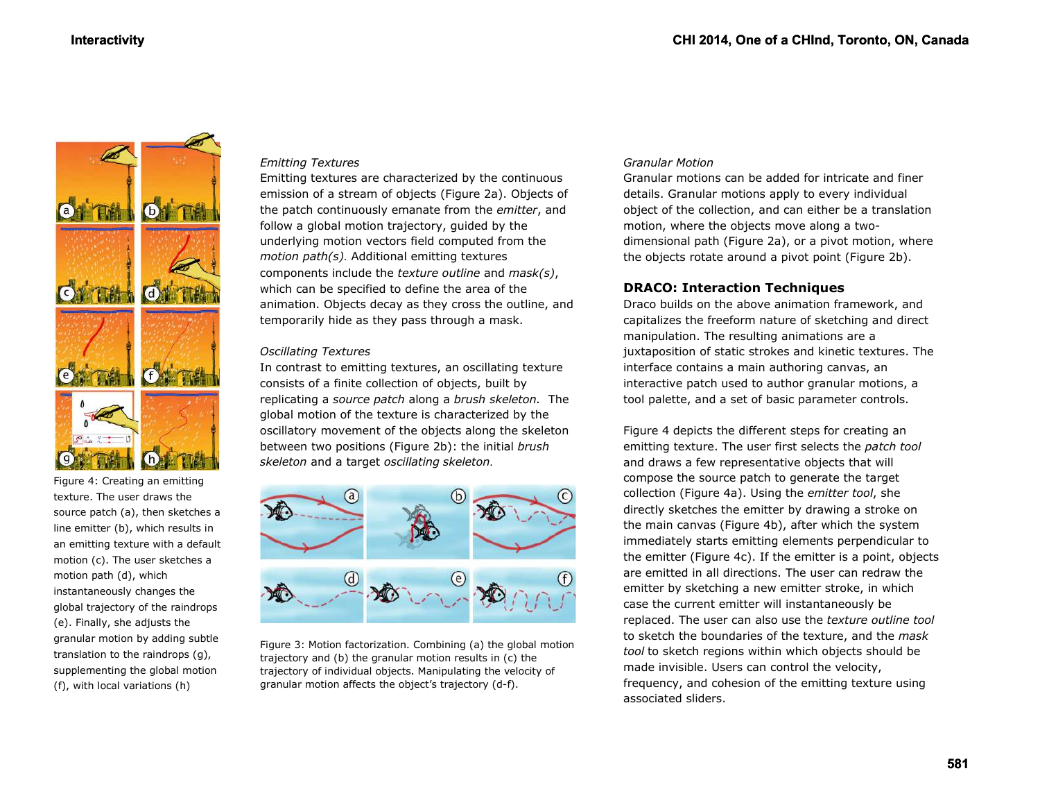

Figure 4: Creating an emitting texture. The user draws the source patch (a), then sketches a line emitter (b), which results in an emitting texture with a default motion (c). The user sketches a motion path (d), which instantaneously changes the global trajectory of the raindrops (e). Finally, she adjusts the granular motion by adding subtle translation to the raindrops (g), supplementing the global motion (f), with local variations (h)

#### *Emitting Textures*

Emitting textures are characterized by the continuous emission of a stream of objects (Figure 2a). Objects of the patch continuously emanate from the *emitter*, and follow a global motion trajectory, guided by the underlying motion vectors field computed from the *motion path(s).* Additional emitting textures components include the *texture outline* and *mask(s)*, which can be specified to define the area of the animation. Objects decay as they cross the outline, and temporarily hide as they pass through a mask.

#### *Oscillating Textures*

In contrast to emitting textures, an oscillating texture consists of a finite collection of objects, built by replicating a *source patch* along a *brush skeleton.* The global motion of the texture is characterized by the oscillatory movement of the objects along the skeleton between two positions (Figure 2b): the initial *brush skeleton* and a target *oscillating skeleton.*



Figure 3: Motion factorization. Combining (a) the global motion trajectory and (b) the granular motion results in (c) the trajectory of individual objects. Manipulating the velocity of granular motion affects the object's trajectory (d-f).

#### *Granular Motion*

Granular motions can be added for intricate and finer details. Granular motions apply to every individual object of the collection, and can either be a translation motion, where the objects move along a twodimensional path (Figure 2a), or a pivot motion, where the objects rotate around a pivot point (Figure 2b).

## **DRACO: Interaction Techniques**

Draco builds on the above animation framework, and capitalizes the freeform nature of sketching and direct manipulation. The resulting animations are a juxtaposition of static strokes and kinetic textures. The interface contains a main authoring canvas, an interactive patch used to author granular motions, a tool palette, and a set of basic parameter controls.

Figure 4 depicts the different steps for creating an emitting texture. The user first selects the *patch tool* and draws a few representative objects that will compose the source patch to generate the target collection (Figure 4a). Using the *emitter tool*, she directly sketches the emitter by drawing a stroke on the main canvas (Figure 4b), after which the system immediately starts emitting elements perpendicular to the emitter (Figure 4c). If the emitter is a point, objects are emitted in all directions. The user can redraw the emitter by sketching a new emitter stroke, in which case the current emitter will instantaneously be replaced. The user can also use the *texture outline tool* to sketch the boundaries of the texture, and the *mask tool* to sketch regions within which objects should be made invisible. Users can control the velocity, frequency, and cohesion of the emitting texture using associated sliders.